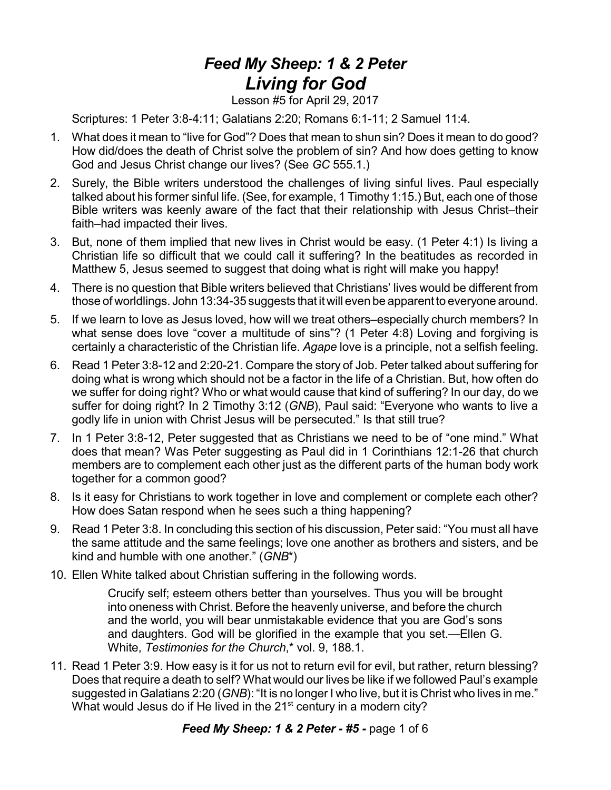## *Feed My Sheep: 1 & 2 Peter Living for God*

Lesson #5 for April 29, 2017

Scriptures: 1 Peter 3:8-4:11; Galatians 2:20; Romans 6:1-11; 2 Samuel 11:4.

- 1. What does it mean to "live for God"? Does that mean to shun sin? Does it mean to do good? How did/does the death of Christ solve the problem of sin? And how does getting to know God and Jesus Christ change our lives? (See *GC* 555.1.)
- 2. Surely, the Bible writers understood the challenges of living sinful lives. Paul especially talked about his former sinful life. (See, for example, 1 Timothy 1:15.) But, each one of those Bible writers was keenly aware of the fact that their relationship with Jesus Christ–their faith–had impacted their lives.
- 3. But, none of them implied that new lives in Christ would be easy. (1 Peter 4:1) Is living a Christian life so difficult that we could call it suffering? In the beatitudes as recorded in Matthew 5, Jesus seemed to suggest that doing what is right will make you happy!
- 4. There is no question that Bible writers believed that Christians' lives would be different from those of worldlings. John 13:34-35 suggests that it will even be apparent to everyone around.
- 5. If we learn to love as Jesus loved, how will we treat others–especially church members? In what sense does love "cover a multitude of sins"? (1 Peter 4:8) Loving and forgiving is certainly a characteristic of the Christian life. *Agape* love is a principle, not a selfish feeling.
- 6. Read 1 Peter 3:8-12 and 2:20-21. Compare the story of Job. Peter talked about suffering for doing what is wrong which should not be a factor in the life of a Christian. But, how often do we suffer for doing right? Who or what would cause that kind of suffering? In our day, do we suffer for doing right? In 2 Timothy 3:12 (*GNB*), Paul said: "Everyone who wants to live a godly life in union with Christ Jesus will be persecuted." Is that still true?
- 7. In 1 Peter 3:8-12, Peter suggested that as Christians we need to be of "one mind." What does that mean? Was Peter suggesting as Paul did in 1 Corinthians 12:1-26 that church members are to complement each other just as the different parts of the human body work together for a common good?
- 8. Is it easy for Christians to work together in love and complement or complete each other? How does Satan respond when he sees such a thing happening?
- 9. Read 1 Peter 3:8. In concluding this section of his discussion, Peter said: "You must all have the same attitude and the same feelings; love one another as brothers and sisters, and be kind and humble with one another." (*GNB*\*)
- 10. Ellen White talked about Christian suffering in the following words.

Crucify self; esteem others better than yourselves. Thus you will be brought into oneness with Christ. Before the heavenly universe, and before the church and the world, you will bear unmistakable evidence that you are God's sons and daughters. God will be glorified in the example that you set.—Ellen G. White, *Testimonies for the Church*,\* vol. 9, 188.1.

11. Read 1 Peter 3:9. How easy is it for us not to return evil for evil, but rather, return blessing? Does that require a death to self? What would our lives be like if we followed Paul's example suggested in Galatians 2:20 (*GNB*): "It is no longer I who live, but it is Christ who lives in me." What would Jesus do if He lived in the 21 $^{\rm st}$  century in a modern city?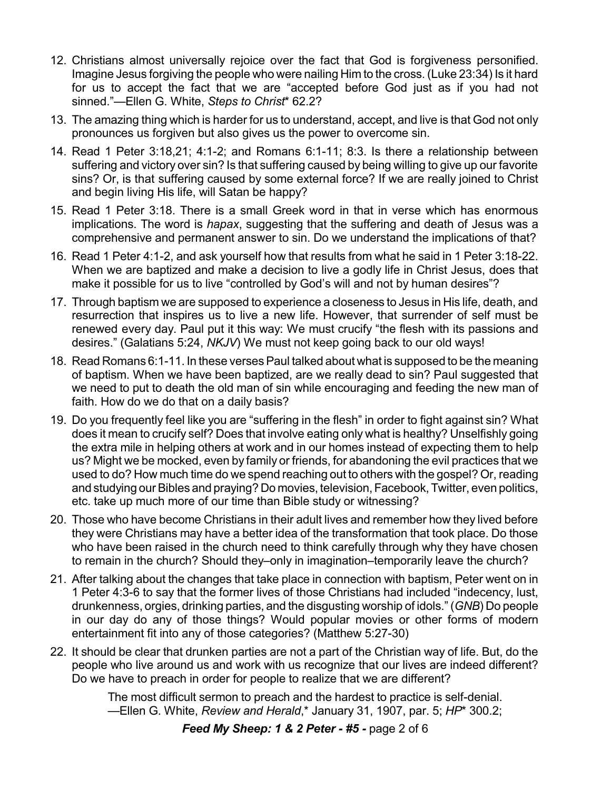- 12. Christians almost universally rejoice over the fact that God is forgiveness personified. Imagine Jesus forgiving the people who were nailing Him to the cross. (Luke 23:34) Is it hard for us to accept the fact that we are "accepted before God just as if you had not sinned."—Ellen G. White, *Steps to Christ*\* 62.2?
- 13. The amazing thing which is harder for us to understand, accept, and live is that God not only pronounces us forgiven but also gives us the power to overcome sin.
- 14. Read 1 Peter 3:18,21; 4:1-2; and Romans 6:1-11; 8:3. Is there a relationship between suffering and victory over sin? Is that suffering caused by being willing to give up our favorite sins? Or, is that suffering caused by some external force? If we are really joined to Christ and begin living His life, will Satan be happy?
- 15. Read 1 Peter 3:18. There is a small Greek word in that in verse which has enormous implications. The word is *hapax*, suggesting that the suffering and death of Jesus was a comprehensive and permanent answer to sin. Do we understand the implications of that?
- 16. Read 1 Peter 4:1-2, and ask yourself how that results from what he said in 1 Peter 3:18-22. When we are baptized and make a decision to live a godly life in Christ Jesus, does that make it possible for us to live "controlled by God's will and not by human desires"?
- 17. Through baptism we are supposed to experience a closeness to Jesus in His life, death, and resurrection that inspires us to live a new life. However, that surrender of self must be renewed every day. Paul put it this way: We must crucify "the flesh with its passions and desires." (Galatians 5:24, *NKJV*) We must not keep going back to our old ways!
- 18. Read Romans 6:1-11. In these verses Paul talked about what is supposed to be the meaning of baptism. When we have been baptized, are we really dead to sin? Paul suggested that we need to put to death the old man of sin while encouraging and feeding the new man of faith. How do we do that on a daily basis?
- 19. Do you frequently feel like you are "suffering in the flesh" in order to fight against sin? What does it mean to crucify self? Does that involve eating only what is healthy? Unselfishly going the extra mile in helping others at work and in our homes instead of expecting them to help us? Might we be mocked, even by family or friends, for abandoning the evil practices that we used to do? How much time do we spend reaching out to others with the gospel? Or, reading and studying our Bibles and praying? Do movies, television,Facebook,Twitter, even politics, etc. take up much more of our time than Bible study or witnessing?
- 20. Those who have become Christians in their adult lives and remember how they lived before they were Christians may have a better idea of the transformation that took place. Do those who have been raised in the church need to think carefully through why they have chosen to remain in the church? Should they–only in imagination–temporarily leave the church?
- 21. After talking about the changes that take place in connection with baptism, Peter went on in 1 Peter 4:3-6 to say that the former lives of those Christians had included "indecency, lust, drunkenness, orgies, drinking parties, and the disgusting worship of idols." (*GNB*) Do people in our day do any of those things? Would popular movies or other forms of modern entertainment fit into any of those categories? (Matthew 5:27-30)
- 22. It should be clear that drunken parties are not a part of the Christian way of life. But, do the people who live around us and work with us recognize that our lives are indeed different? Do we have to preach in order for people to realize that we are different?

The most difficult sermon to preach and the hardest to practice is self-denial. —Ellen G. White, *Review and Herald*,\* January 31, 1907, par. 5; *HP*\* 300.2;

## *Feed My Sheep: 1 & 2 Peter - #5 -* page 2 of 6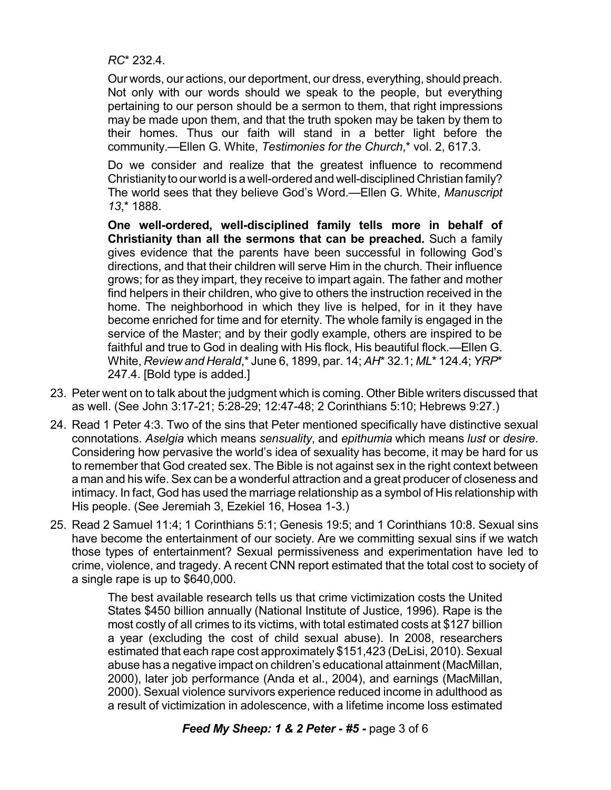*RC*\* 232.4.

Our words, our actions, our deportment, our dress, everything, should preach. Not only with our words should we speak to the people, but everything pertaining to our person should be a sermon to them, that right impressions may be made upon them, and that the truth spoken may be taken by them to their homes. Thus our faith will stand in a better light before the community.—Ellen G. White, *Testimonies for the Church*,\* vol. 2, 617.3.

Do we consider and realize that the greatest influence to recommend Christianity to our world is a well-ordered and well-disciplined Christian family? The world sees that they believe God's Word.—Ellen G. White, *Manuscript 13*,\* 1888.

**One well-ordered, well-disciplined family tells more in behalf of Christianity than all the sermons that can be preached.** Such a family gives evidence that the parents have been successful in following God's directions, and that their children will serve Him in the church. Their influence grows; for as they impart, they receive to impart again. The father and mother find helpers in their children, who give to others the instruction received in the home. The neighborhood in which they live is helped, for in it they have become enriched for time and for eternity. The whole family is engaged in the service of the Master; and by their godly example, others are inspired to be faithful and true to God in dealing with His flock, His beautiful flock.—Ellen G. White, *Review and Herald*,\* June 6, 1899, par. 14; *AH*\* 32.1; *ML*\* 124.4;*YRP*\* 247.4. [Bold type is added.]

- 23. Peter went on to talk about the judgment which is coming. Other Bible writers discussed that as well. (See John 3:17-21; 5:28-29; 12:47-48; 2 Corinthians 5:10; Hebrews 9:27.)
- 24. Read 1 Peter 4:3. Two of the sins that Peter mentioned specifically have distinctive sexual connotations. *Aselgia* which means *sensuality*, and *epithumia* which means *lust* or *desire*. Considering how pervasive the world's idea of sexuality has become, it may be hard for us to remember that God created sex. The Bible is not against sex in the right context between a man and his wife. Sex can be a wonderful attraction and a great producer of closeness and intimacy. In fact, God has used the marriage relationship as a symbol of His relationship with His people. (See Jeremiah 3, Ezekiel 16, Hosea 1-3.)
- 25. Read 2 Samuel 11:4; 1 Corinthians 5:1; Genesis 19:5; and 1 Corinthians 10:8. Sexual sins have become the entertainment of our society. Are we committing sexual sins if we watch those types of entertainment? Sexual permissiveness and experimentation have led to crime, violence, and tragedy. A recent CNN report estimated that the total cost to society of a single rape is up to \$640,000.

The best available research tells us that crime victimization costs the United States \$450 billion annually (National Institute of Justice, 1996). Rape is the most costly of all crimes to its victims, with total estimated costs at \$127 billion a year (excluding the cost of child sexual abuse). In 2008, researchers estimated that each rape cost approximately \$151,423 (DeLisi, 2010). Sexual abuse has a negative impact on children's educational attainment(MacMillan, 2000), later job performance (Anda et al., 2004), and earnings (MacMillan, 2000). Sexual violence survivors experience reduced income in adulthood as a result of victimization in adolescence, with a lifetime income loss estimated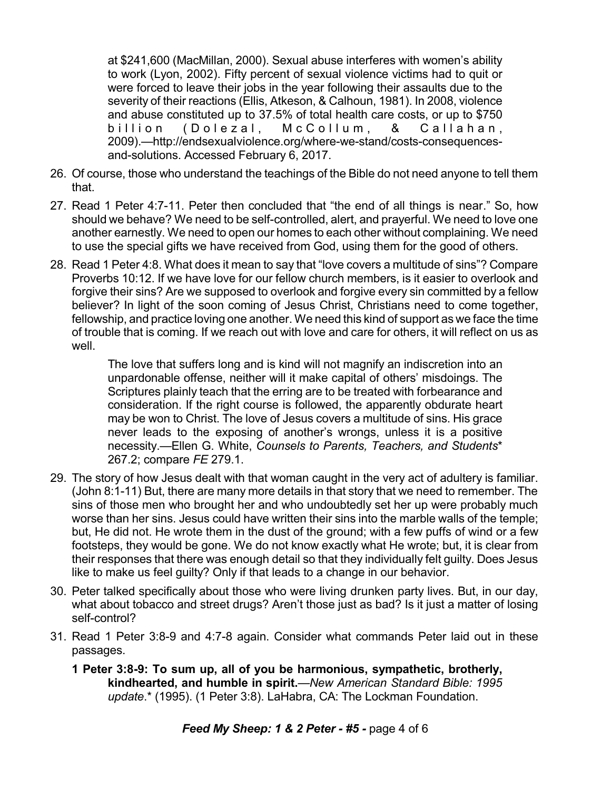at \$241,600 (MacMillan, 2000). Sexual abuse interferes with women's ability to work (Lyon, 2002). Fifty percent of sexual violence victims had to quit or were forced to leave their jobs in the year following their assaults due to the severity of their reactions (Ellis, Atkeson, & Calhoun, 1981). In 2008, violence and abuse constituted up to 37.5% of total health care costs, or up to \$750 billion (Dolezal, McCollum, & Callahan, 2009).—http://endsexualviolence.org/where-we-stand/costs-consequencesand-solutions. Accessed February 6, 2017.

- 26. Of course, those who understand the teachings of the Bible do not need anyone to tell them that.
- 27. Read 1 Peter 4:7-11. Peter then concluded that "the end of all things is near." So, how should we behave? We need to be self-controlled, alert, and prayerful. We need to love one another earnestly. We need to open our homes to each other without complaining. We need to use the special gifts we have received from God, using them for the good of others.
- 28. Read 1 Peter 4:8. What does it mean to say that "love covers a multitude of sins"? Compare Proverbs 10:12. If we have love for our fellow church members, is it easier to overlook and forgive their sins? Are we supposed to overlook and forgive every sin committed by a fellow believer? In light of the soon coming of Jesus Christ, Christians need to come together, fellowship, and practice loving one another. We need this kind of support as we face the time of trouble that is coming. If we reach out with love and care for others, it will reflect on us as well.

The love that suffers long and is kind will not magnify an indiscretion into an unpardonable offense, neither will it make capital of others' misdoings. The Scriptures plainly teach that the erring are to be treated with forbearance and consideration. If the right course is followed, the apparently obdurate heart may be won to Christ. The love of Jesus covers a multitude of sins. His grace never leads to the exposing of another's wrongs, unless it is a positive necessity.—Ellen G. White, *Counsels to Parents, Teachers, and Students*\* 267.2; compare *FE* 279.1.

- 29. The story of how Jesus dealt with that woman caught in the very act of adultery is familiar. (John 8:1-11) But, there are many more details in that story that we need to remember. The sins of those men who brought her and who undoubtedly set her up were probably much worse than her sins. Jesus could have written their sins into the marble walls of the temple; but, He did not. He wrote them in the dust of the ground; with a few puffs of wind or a few footsteps, they would be gone. We do not know exactly what He wrote; but, it is clear from their responses that there was enough detail so that they individually felt guilty. Does Jesus like to make us feel guilty? Only if that leads to a change in our behavior.
- 30. Peter talked specifically about those who were living drunken party lives. But, in our day, what about tobacco and street drugs? Aren't those just as bad? Is it just a matter of losing self-control?
- 31. Read 1 Peter 3:8-9 and 4:7-8 again. Consider what commands Peter laid out in these passages.
	- **1 Peter 3:8-9: To sum up, all of you be harmonious, sympathetic, brotherly, kindhearted, and humble in spirit.**—*New American Standard Bible: 1995 update*.\* (1995). (1 Peter 3:8). LaHabra, CA: The Lockman Foundation.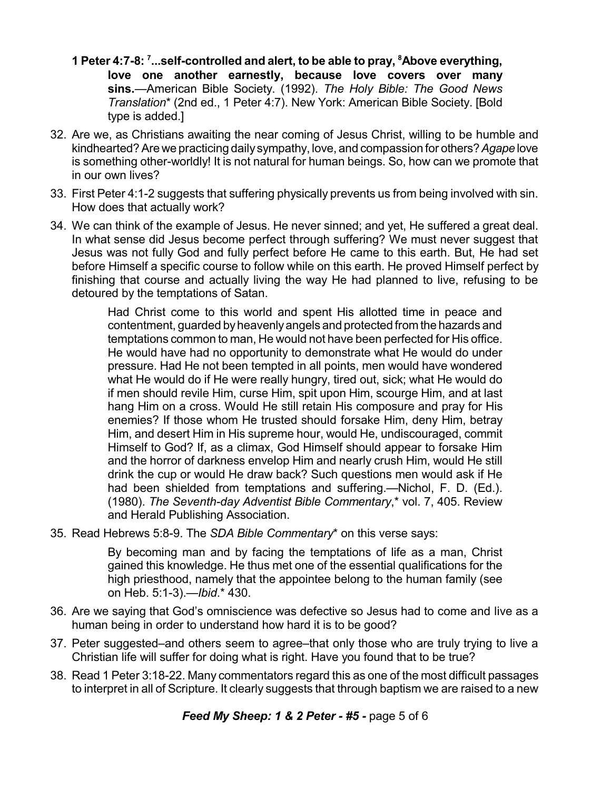- **1 Peter 4:7-8: 7 ...self-controlled and alert, to be able to pray, <sup>8</sup>Above everything, love one another earnestly, because love covers over many sins.**—American Bible Society. (1992). *The Holy Bible: The Good News Translation*\* (2nd ed., 1 Peter 4:7). New York: American Bible Society. [Bold type is added.]
- 32. Are we, as Christians awaiting the near coming of Jesus Christ, willing to be humble and kindhearted?Are we practicing daily sympathy, love, and compassion for others?*Agape* love is something other-worldly! It is not natural for human beings. So, how can we promote that in our own lives?
- 33. First Peter 4:1-2 suggests that suffering physically prevents us from being involved with sin. How does that actually work?
- 34. We can think of the example of Jesus. He never sinned; and yet, He suffered a great deal. In what sense did Jesus become perfect through suffering? We must never suggest that Jesus was not fully God and fully perfect before He came to this earth. But, He had set before Himself a specific course to follow while on this earth. He proved Himself perfect by finishing that course and actually living the way He had planned to live, refusing to be detoured by the temptations of Satan.

Had Christ come to this world and spent His allotted time in peace and contentment, guarded byheavenlyangels and protected from the hazards and temptations common to man, He would not have been perfected for His office. He would have had no opportunity to demonstrate what He would do under pressure. Had He not been tempted in all points, men would have wondered what He would do if He were really hungry, tired out, sick; what He would do if men should revile Him, curse Him, spit upon Him, scourge Him, and at last hang Him on a cross. Would He still retain His composure and pray for His enemies? If those whom He trusted should forsake Him, deny Him, betray Him, and desert Him in His supreme hour, would He, undiscouraged, commit Himself to God? If, as a climax, God Himself should appear to forsake Him and the horror of darkness envelop Him and nearly crush Him, would He still drink the cup or would He draw back? Such questions men would ask if He had been shielded from temptations and suffering.—Nichol, F. D. (Ed.). (1980). *The Seventh-day Adventist Bible Commentary*,\* vol. 7, 405. Review and Herald Publishing Association.

35. Read Hebrews 5:8-9. The *SDA Bible Commentary*\* on this verse says:

By becoming man and by facing the temptations of life as a man, Christ gained this knowledge. He thus met one of the essential qualifications for the high priesthood, namely that the appointee belong to the human family (see on Heb. 5:1-3).—*Ibid*.\* 430.

- 36. Are we saying that God's omniscience was defective so Jesus had to come and live as a human being in order to understand how hard it is to be good?
- 37. Peter suggested–and others seem to agree–that only those who are truly trying to live a Christian life will suffer for doing what is right. Have you found that to be true?
- 38. Read 1 Peter 3:18-22. Many commentators regard this as one of the most difficult passages to interpret in all of Scripture. It clearly suggests that through baptism we are raised to a new

*Feed My Sheep: 1 & 2 Peter - #5 -* page 5 of 6